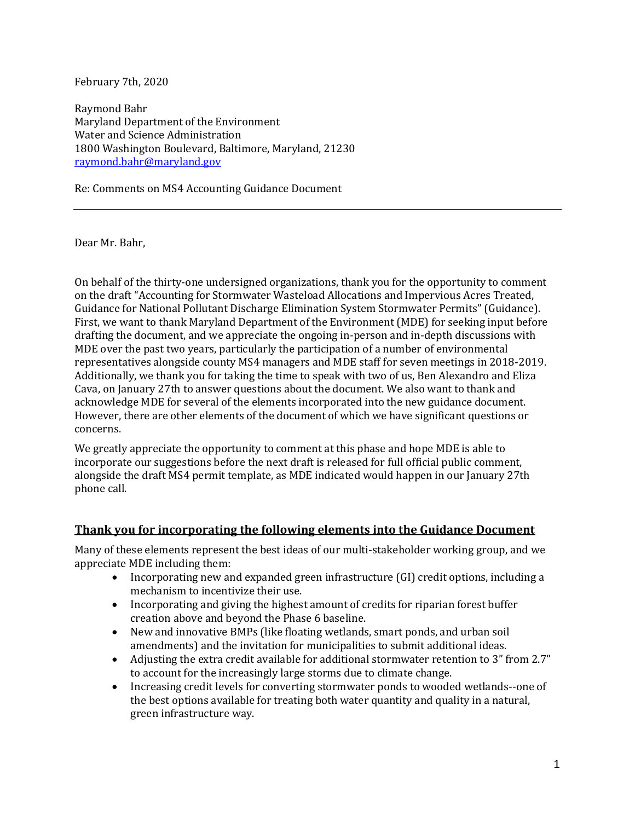February 7th, 2020

Raymond Bahr Maryland Department of the Environment Water and Science Administration 1800 Washington Boulevard, Baltimore, Maryland, 21230 raymond.bahr@maryland.gov

Re: Comments on MS4 Accounting Guidance Document

Dear Mr. Bahr,

On behalf of the thirty-one undersigned organizations, thank you for the opportunity to comment on the draft "Accounting for Stormwater Wasteload Allocations and Impervious Acres Treated, Guidance for National Pollutant Discharge Elimination System Stormwater Permits" (Guidance). First, we want to thank Maryland Department of the Environment (MDE) for seeking input before drafting the document, and we appreciate the ongoing in-person and in-depth discussions with MDE over the past two years, particularly the participation of a number of environmental representatives alongside county MS4 managers and MDE staff for seven meetings in 2018-2019. Additionally, we thank you for taking the time to speak with two of us, Ben Alexandro and Eliza Cava, on January 27th to answer questions about the document. We also want to thank and acknowledge MDE for several of the elements incorporated into the new guidance document. However, there are other elements of the document of which we have significant questions or concerns.

We greatly appreciate the opportunity to comment at this phase and hope MDE is able to incorporate our suggestions before the next draft is released for full official public comment, alongside the draft MS4 permit template, as MDE indicated would happen in our January 27th phone call.

### **Thank you for incorporating the following elements into the Guidance Document**

Many of these elements represent the best ideas of our multi-stakeholder working group, and we appreciate MDE including them:

- Incorporating new and expanded green infrastructure (GI) credit options, including a mechanism to incentivize their use.
- Incorporating and giving the highest amount of credits for riparian forest buffer creation above and beyond the Phase 6 baseline.
- New and innovative BMPs (like floating wetlands, smart ponds, and urban soil amendments) and the invitation for municipalities to submit additional ideas.
- Adjusting the extra credit available for additional stormwater retention to 3" from 2.7" to account for the increasingly large storms due to climate change.
- Increasing credit levels for converting stormwater ponds to wooded wetlands--one of the best options available for treating both water quantity and quality in a natural, green infrastructure way.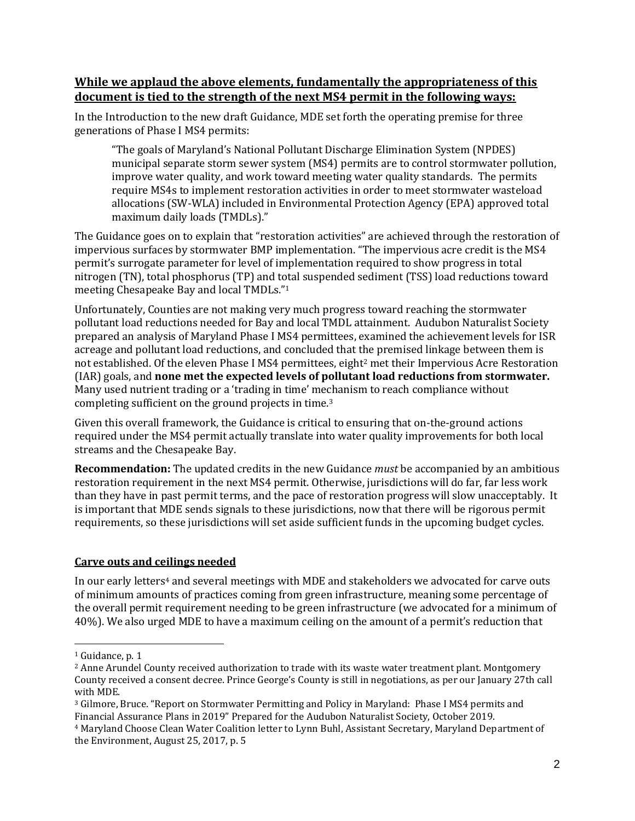# **While we applaud the above elements, fundamentally the appropriateness of this document is tied to the strength of the next MS4 permit in the following ways:**

In the Introduction to the new draft Guidance, MDE set forth the operating premise for three generations of Phase I MS4 permits:

"The goals of Maryland's National Pollutant Discharge Elimination System (NPDES) municipal separate storm sewer system (MS4) permits are to control stormwater pollution, improve water quality, and work toward meeting water quality standards. The permits require MS4s to implement restoration activities in order to meet stormwater wasteload allocations (SW-WLA) included in Environmental Protection Agency (EPA) approved total maximum daily loads (TMDLs)."

The Guidance goes on to explain that "restoration activities" are achieved through the restoration of impervious surfaces by stormwater BMP implementation. "The impervious acre credit is the MS4 permit's surrogate parameter for level of implementation required to show progress in total nitrogen (TN), total phosphorus (TP) and total suspended sediment (TSS) load reductions toward meeting Chesapeake Bay and local TMDLs."<sup>1</sup>

Unfortunately, Counties are not making very much progress toward reaching the stormwater pollutant load reductions needed for Bay and local TMDL attainment. Audubon Naturalist Society prepared an analysis of Maryland Phase I MS4 permittees, examined the achievement levels for ISR acreage and pollutant load reductions, and concluded that the premised linkage between them is not established. Of the eleven Phase I MS4 permittees, eight<sup>2</sup> met their Impervious Acre Restoration (IAR) goals, and **none met the expected levels of pollutant load reductions from stormwater.** Many used nutrient trading or a 'trading in time' mechanism to reach compliance without completing sufficient on the ground projects in time.<sup>3</sup>

Given this overall framework, the Guidance is critical to ensuring that on-the-ground actions required under the MS4 permit actually translate into water quality improvements for both local streams and the Chesapeake Bay.

**Recommendation:** The updated credits in the new Guidance *must* be accompanied by an ambitious restoration requirement in the next MS4 permit. Otherwise, jurisdictions will do far, far less work than they have in past permit terms, and the pace of restoration progress will slow unacceptably. It is important that MDE sends signals to these jurisdictions, now that there will be rigorous permit requirements, so these jurisdictions will set aside sufficient funds in the upcoming budget cycles.

# **Carve outs and ceilings needed**

In our early letters<sup>4</sup> and several meetings with MDE and stakeholders we advocated for carve outs of minimum amounts of practices coming from green infrastructure, meaning some percentage of the overall permit requirement needing to be green infrastructure (we advocated for a minimum of 40%). We also urged MDE to have a maximum ceiling on the amount of a permit's reduction that

<sup>&</sup>lt;sup>1</sup> Guidance, p. 1

<sup>2</sup> Anne Arundel County received authorization to trade with its waste water treatment plant. Montgomery County received a consent decree. Prince George's County is still in negotiations, as per our January 27th call with MDE.

<sup>3</sup> Gilmore, Bruce. "Report on Stormwater Permitting and Policy in Maryland: Phase I MS4 permits and Financial Assurance Plans in 2019" Prepared for the Audubon Naturalist Society, October 2019.

<sup>4</sup> Maryland Choose Clean Water Coalition letter to Lynn Buhl, Assistant Secretary, Maryland Department of the Environment, August 25, 2017, p. 5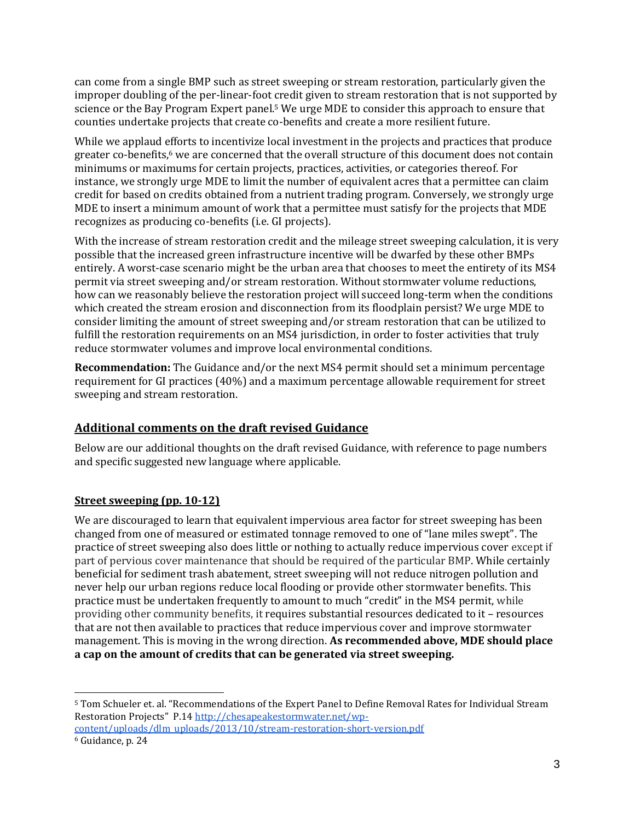can come from a single BMP such as street sweeping or stream restoration, particularly given the improper doubling of the per-linear-foot credit given to stream restoration that is not supported by science or the Bay Program Expert panel.<sup>5</sup> We urge MDE to consider this approach to ensure that counties undertake projects that create co-benefits and create a more resilient future.

While we applaud efforts to incentivize local investment in the projects and practices that produce greater co-benefits, $6$  we are concerned that the overall structure of this document does not contain minimums or maximums for certain projects, practices, activities, or categories thereof. For instance, we strongly urge MDE to limit the number of equivalent acres that a permittee can claim credit for based on credits obtained from a nutrient trading program. Conversely, we strongly urge MDE to insert a minimum amount of work that a permittee must satisfy for the projects that MDE recognizes as producing co-benefits (i.e. GI projects).

With the increase of stream restoration credit and the mileage street sweeping calculation, it is very possible that the increased green infrastructure incentive will be dwarfed by these other BMPs entirely. A worst-case scenario might be the urban area that chooses to meet the entirety of its MS4 permit via street sweeping and/or stream restoration. Without stormwater volume reductions, how can we reasonably believe the restoration project will succeed long-term when the conditions which created the stream erosion and disconnection from its floodplain persist? We urge MDE to consider limiting the amount of street sweeping and/or stream restoration that can be utilized to fulfill the restoration requirements on an MS4 jurisdiction, in order to foster activities that truly reduce stormwater volumes and improve local environmental conditions.

**Recommendation:** The Guidance and/or the next MS4 permit should set a minimum percentage requirement for GI practices (40%) and a maximum percentage allowable requirement for street sweeping and stream restoration.

# **Additional comments on the draft revised Guidance**

Below are our additional thoughts on the draft revised Guidance, with reference to page numbers and specific suggested new language where applicable.

# **Street sweeping (pp. 10-12)**

We are discouraged to learn that equivalent impervious area factor for street sweeping has been changed from one of measured or estimated tonnage removed to one of "lane miles swept". The practice of street sweeping also does little or nothing to actually reduce impervious cover except if part of pervious cover maintenance that should be required of the particular BMP. While certainly beneficial for sediment trash abatement, street sweeping will not reduce nitrogen pollution and never help our urban regions reduce local flooding or provide other stormwater benefits. This practice must be undertaken frequently to amount to much "credit" in the MS4 permit, while providing other community benefits, it requires substantial resources dedicated to it – resources that are not then available to practices that reduce impervious cover and improve stormwater management. This is moving in the wrong direction. **As recommended above, MDE should place a cap on the amount of credits that can be generated via street sweeping.**

<sup>5</sup> Tom Schueler et. al. "Recommendations of the Expert Panel to Define Removal Rates for Individual Stream Restoration Projects" P.14 http://chesapeakestormwater.net/wpcontent/uploads/dlm\_uploads/2013/10/stream-restoration-short-version.pdf

<sup>6</sup> Guidance, p. 24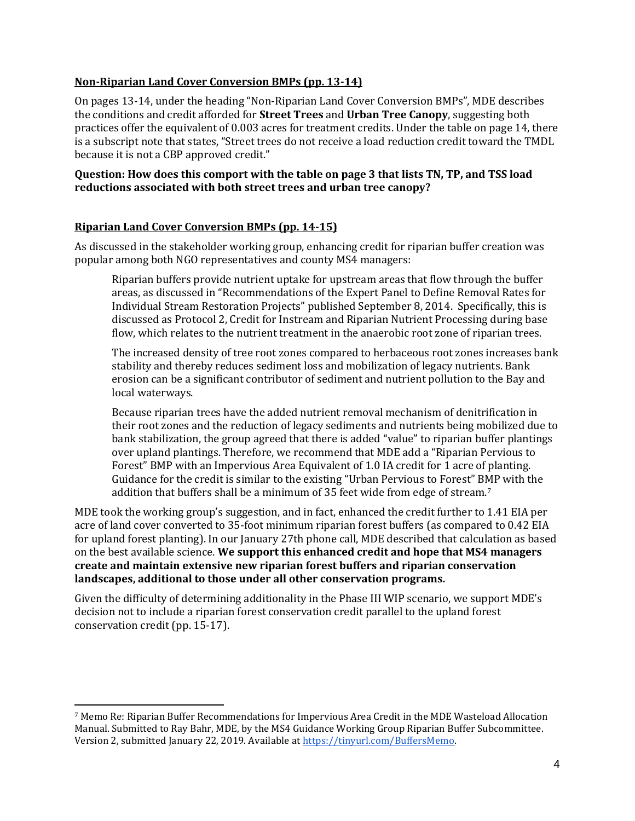#### **Non-Riparian Land Cover Conversion BMPs (pp. 13-14)**

On pages 13-14, under the heading "Non-Riparian Land Cover Conversion BMPs", MDE describes the conditions and credit afforded for **Street Trees** and **Urban Tree Canopy**, suggesting both practices offer the equivalent of 0.003 acres for treatment credits. Under the table on page 14, there is a subscript note that states, "Street trees do not receive a load reduction credit toward the TMDL because it is not a CBP approved credit."

#### **Question: How does this comport with the table on page 3 that lists TN, TP, and TSS load reductions associated with both street trees and urban tree canopy?**

#### **Riparian Land Cover Conversion BMPs (pp. 14-15)**

As discussed in the stakeholder working group, enhancing credit for riparian buffer creation was popular among both NGO representatives and county MS4 managers:

Riparian buffers provide nutrient uptake for upstream areas that flow through the buffer areas, as discussed in "Recommendations of the Expert Panel to Define Removal Rates for Individual Stream Restoration Projects" published September 8, 2014. Specifically, this is discussed as Protocol 2, Credit for Instream and Riparian Nutrient Processing during base flow, which relates to the nutrient treatment in the anaerobic root zone of riparian trees.

The increased density of tree root zones compared to herbaceous root zones increases bank stability and thereby reduces sediment loss and mobilization of legacy nutrients. Bank erosion can be a significant contributor of sediment and nutrient pollution to the Bay and local waterways.

Because riparian trees have the added nutrient removal mechanism of denitrification in their root zones and the reduction of legacy sediments and nutrients being mobilized due to bank stabilization, the group agreed that there is added "value" to riparian buffer plantings over upland plantings. Therefore, we recommend that MDE add a "Riparian Pervious to Forest" BMP with an Impervious Area Equivalent of 1.0 IA credit for 1 acre of planting. Guidance for the credit is similar to the existing "Urban Pervious to Forest" BMP with the addition that buffers shall be a minimum of 35 feet wide from edge of stream.<sup>7</sup>

MDE took the working group's suggestion, and in fact, enhanced the credit further to 1.41 EIA per acre of land cover converted to 35-foot minimum riparian forest buffers (as compared to 0.42 EIA for upland forest planting). In our January 27th phone call, MDE described that calculation as based on the best available science. **We support this enhanced credit and hope that MS4 managers create and maintain extensive new riparian forest buffers and riparian conservation landscapes, additional to those under all other conservation programs.**

Given the difficulty of determining additionality in the Phase III WIP scenario, we support MDE's decision not to include a riparian forest conservation credit parallel to the upland forest conservation credit (pp. 15-17).

<sup>7</sup> Memo Re: Riparian Buffer Recommendations for Impervious Area Credit in the MDE Wasteload Allocation Manual. Submitted to Ray Bahr, MDE, by the MS4 Guidance Working Group Riparian Buffer Subcommittee. Version 2, submitted January 22, 2019. Available at https://tinyurl.com/BuffersMemo.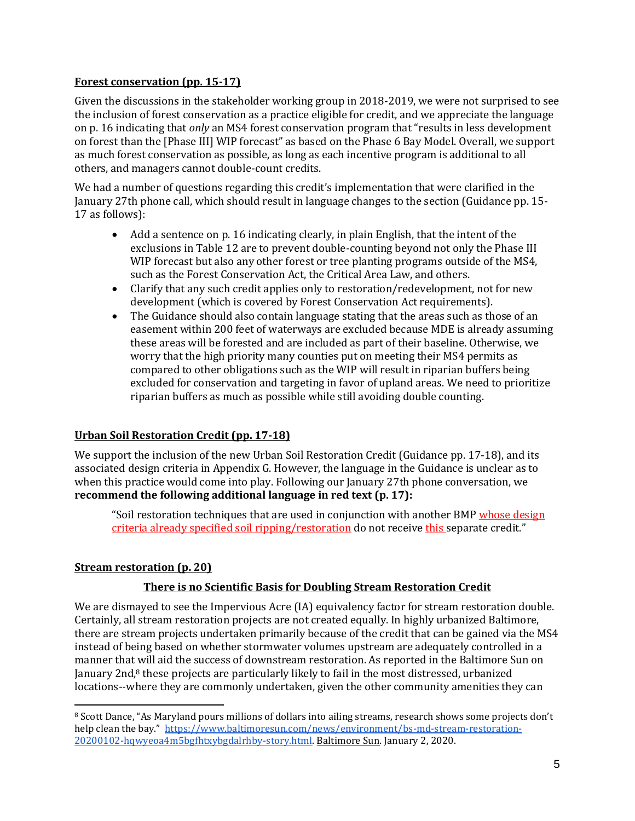### **Forest conservation (pp. 15-17)**

Given the discussions in the stakeholder working group in 2018-2019, we were not surprised to see the inclusion of forest conservation as a practice eligible for credit, and we appreciate the language on p. 16 indicating that *only* an MS4 forest conservation program that "results in less development on forest than the [Phase III] WIP forecast" as based on the Phase 6 Bay Model. Overall, we support as much forest conservation as possible, as long as each incentive program is additional to all others, and managers cannot double-count credits.

We had a number of questions regarding this credit's implementation that were clarified in the January 27th phone call, which should result in language changes to the section (Guidance pp. 15- 17 as follows):

- Add a sentence on p. 16 indicating clearly, in plain English, that the intent of the exclusions in Table 12 are to prevent double-counting beyond not only the Phase III WIP forecast but also any other forest or tree planting programs outside of the MS4, such as the Forest Conservation Act, the Critical Area Law, and others.
- Clarify that any such credit applies only to restoration/redevelopment, not for new development (which is covered by Forest Conservation Act requirements).
- The Guidance should also contain language stating that the areas such as those of an easement within 200 feet of waterways are excluded because MDE is already assuming these areas will be forested and are included as part of their baseline. Otherwise, we worry that the high priority many counties put on meeting their MS4 permits as compared to other obligations such as the WIP will result in riparian buffers being excluded for conservation and targeting in favor of upland areas. We need to prioritize riparian buffers as much as possible while still avoiding double counting.

### **Urban Soil Restoration Credit (pp. 17-18)**

We support the inclusion of the new Urban Soil Restoration Credit (Guidance pp. 17-18), and its associated design criteria in Appendix G. However, the language in the Guidance is unclear as to when this practice would come into play. Following our January 27th phone conversation, we **recommend the following additional language in red text (p. 17):**

"Soil restoration techniques that are used in conjunction with another BMP whose design criteria already specified soil ripping/restoration do not receive this separate credit."

# **Stream restoration (p. 20)**

# **There is no Scientific Basis for Doubling Stream Restoration Credit**

We are dismayed to see the Impervious Acre (IA) equivalency factor for stream restoration double. Certainly, all stream restoration projects are not created equally. In highly urbanized Baltimore, there are stream projects undertaken primarily because of the credit that can be gained via the MS4 instead of being based on whether stormwater volumes upstream are adequately controlled in a manner that will aid the success of downstream restoration. As reported in the Baltimore Sun on January 2nd,<sup>8</sup> these projects are particularly likely to fail in the most distressed, urbanized locations--where they are commonly undertaken, given the other community amenities they can

<sup>8</sup> Scott Dance, "As Maryland pours millions of dollars into ailing streams, research shows some projects don't help clean the bay." https://www.baltimoresun.com/news/environment/bs-md-stream-restoration-20200102-hqwyeoa4m5bgfhtxybgdalrhby-story.html. Baltimore Sun. January 2, 2020.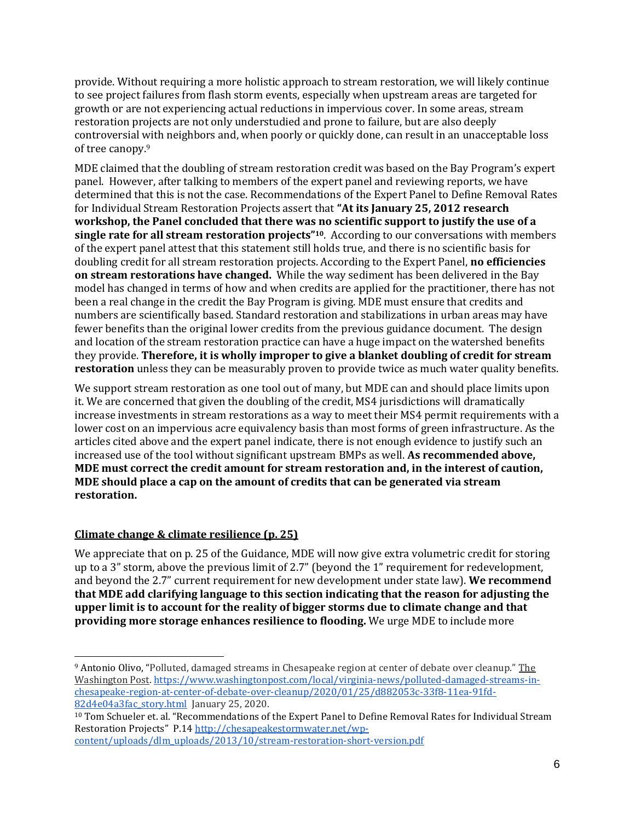provide. Without requiring a more holistic approach to stream restoration, we will likely continue to see project failures from flash storm events, especially when upstream areas are targeted for growth or are not experiencing actual reductions in impervious cover. In some areas, stream restoration projects are not only understudied and prone to failure, but are also deeply controversial with neighbors and, when poorly or quickly done, can result in an unacceptable loss of tree canopy.<sup>9</sup>

MDE claimed that the doubling of stream restoration credit was based on the Bay Program's expert panel. However, after talking to members of the expert panel and reviewing reports, we have determined that this is not the case. Recommendations of the Expert Panel to Define Removal Rates for Individual Stream Restoration Projects assert that **"At its January 25, 2012 research workshop, the Panel concluded that there was no scientific support to justify the use of a single rate for all stream restoration projects"10**. According to our conversations with members of the expert panel attest that this statement still holds true, and there is no scientific basis for doubling credit for all stream restoration projects. According to the Expert Panel, **no efficiencies on stream restorations have changed.** While the way sediment has been delivered in the Bay model has changed in terms of how and when credits are applied for the practitioner, there has not been a real change in the credit the Bay Program is giving. MDE must ensure that credits and numbers are scientifically based. Standard restoration and stabilizations in urban areas may have fewer benefits than the original lower credits from the previous guidance document. The design and location of the stream restoration practice can have a huge impact on the watershed benefits they provide. **Therefore, it is wholly improper to give a blanket doubling of credit for stream restoration** unless they can be measurably proven to provide twice as much water quality benefits.

We support stream restoration as one tool out of many, but MDE can and should place limits upon it. We are concerned that given the doubling of the credit, MS4 jurisdictions will dramatically increase investments in stream restorations as a way to meet their MS4 permit requirements with a lower cost on an impervious acre equivalency basis than most forms of green infrastructure. As the articles cited above and the expert panel indicate, there is not enough evidence to justify such an increased use of the tool without significant upstream BMPs as well. **As recommended above, MDE must correct the credit amount for stream restoration and, in the interest of caution, MDE should place a cap on the amount of credits that can be generated via stream restoration.**

# **Climate change & climate resilience (p. 25)**

We appreciate that on p. 25 of the Guidance, MDE will now give extra volumetric credit for storing up to a 3" storm, above the previous limit of 2.7" (beyond the 1" requirement for redevelopment, and beyond the 2.7" current requirement for new development under state law). **We recommend that MDE add clarifying language to this section indicating that the reason for adjusting the upper limit is to account for the reality of bigger storms due to climate change and that providing more storage enhances resilience to flooding.** We urge MDE to include more

<sup>9</sup> Antonio Olivo, "Polluted, damaged streams in Chesapeake region at center of debate over cleanup." The Washington Post. https://www.washingtonpost.com/local/virginia-news/polluted-damaged-streams-inchesapeake-region-at-center-of-debate-over-cleanup/2020/01/25/d882053c-33f8-11ea-91fd-82d4e04a3fac\_story.html January 25, 2020.

<sup>10</sup> Tom Schueler et. al. "Recommendations of the Expert Panel to Define Removal Rates for Individual Stream Restoration Projects" P.14 http://chesapeakestormwater.net/wpcontent/uploads/dlm\_uploads/2013/10/stream-restoration-short-version.pdf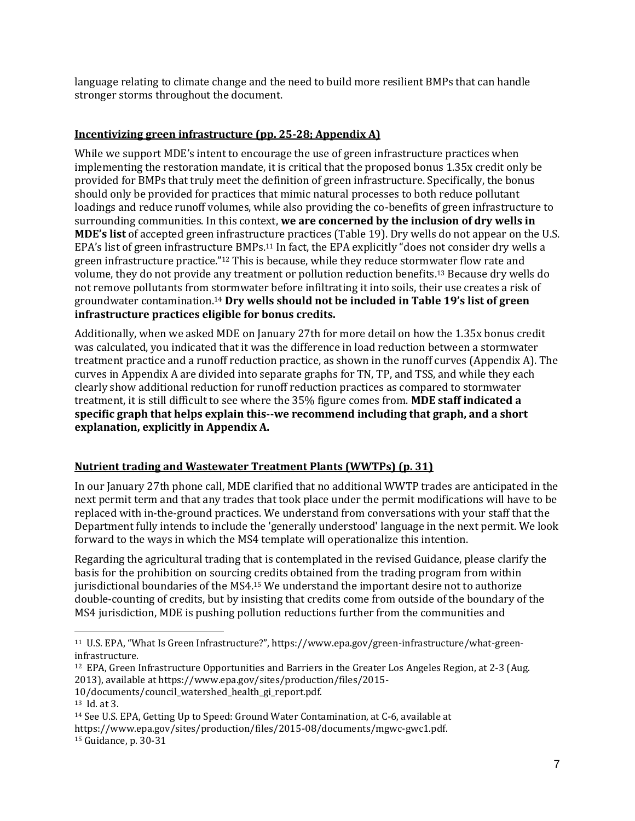language relating to climate change and the need to build more resilient BMPs that can handle stronger storms throughout the document.

### **Incentivizing green infrastructure (pp. 25-28; Appendix A)**

While we support MDE's intent to encourage the use of green infrastructure practices when implementing the restoration mandate, it is critical that the proposed bonus 1.35x credit only be provided for BMPs that truly meet the definition of green infrastructure. Specifically, the bonus should only be provided for practices that mimic natural processes to both reduce pollutant loadings and reduce runoff volumes, while also providing the co-benefits of green infrastructure to surrounding communities. In this context, **we are concerned by the inclusion of dry wells in MDE's list** of accepted green infrastructure practices (Table 19). Dry wells do not appear on the U.S. EPA's list of green infrastructure BMPs.<sup>11</sup> In fact, the EPA explicitly "does not consider dry wells a green infrastructure practice."<sup>12</sup> This is because, while they reduce stormwater flow rate and volume, they do not provide any treatment or pollution reduction benefits.<sup>13</sup> Because dry wells do not remove pollutants from stormwater before infiltrating it into soils, their use creates a risk of groundwater contamination.<sup>14</sup> **Dry wells should not be included in Table 19's list of green infrastructure practices eligible for bonus credits.**

Additionally, when we asked MDE on January 27th for more detail on how the 1.35x bonus credit was calculated, you indicated that it was the difference in load reduction between a stormwater treatment practice and a runoff reduction practice, as shown in the runoff curves (Appendix A). The curves in Appendix A are divided into separate graphs for TN, TP, and TSS, and while they each clearly show additional reduction for runoff reduction practices as compared to stormwater treatment, it is still difficult to see where the 35% figure comes from. **MDE staff indicated a specific graph that helps explain this--we recommend including that graph, and a short explanation, explicitly in Appendix A.**

# **Nutrient trading and Wastewater Treatment Plants (WWTPs) (p. 31)**

In our January 27th phone call, MDE clarified that no additional WWTP trades are anticipated in the next permit term and that any trades that took place under the permit modifications will have to be replaced with in-the-ground practices. We understand from conversations with your staff that the Department fully intends to include the 'generally understood' language in the next permit. We look forward to the ways in which the MS4 template will operationalize this intention.

Regarding the agricultural trading that is contemplated in the revised Guidance, please clarify the basis for the prohibition on sourcing credits obtained from the trading program from within jurisdictional boundaries of the MS4.<sup>15</sup> We understand the important desire not to authorize double-counting of credits, but by insisting that credits come from outside of the boundary of the MS4 jurisdiction, MDE is pushing pollution reductions further from the communities and

- <sup>12</sup> EPA, Green Infrastructure Opportunities and Barriers in the Greater Los Angeles Region, at 2-3 (Aug. 2013), available at https://www.epa.gov/sites/production/files/2015-
- 10/documents/council\_watershed\_health\_gi\_report.pdf.

<sup>14</sup> See U.S. EPA, Getting Up to Speed: Ground Water Contamination, at C-6, available at https://www.epa.gov/sites/production/files/2015-08/documents/mgwc-gwc1.pdf. <sup>15</sup> Guidance, p. 30-31

<sup>11</sup> U.S. EPA, "What Is Green Infrastructure?", https://www.epa.gov/green-infrastructure/what-greeninfrastructure.

<sup>13</sup> Id. at 3.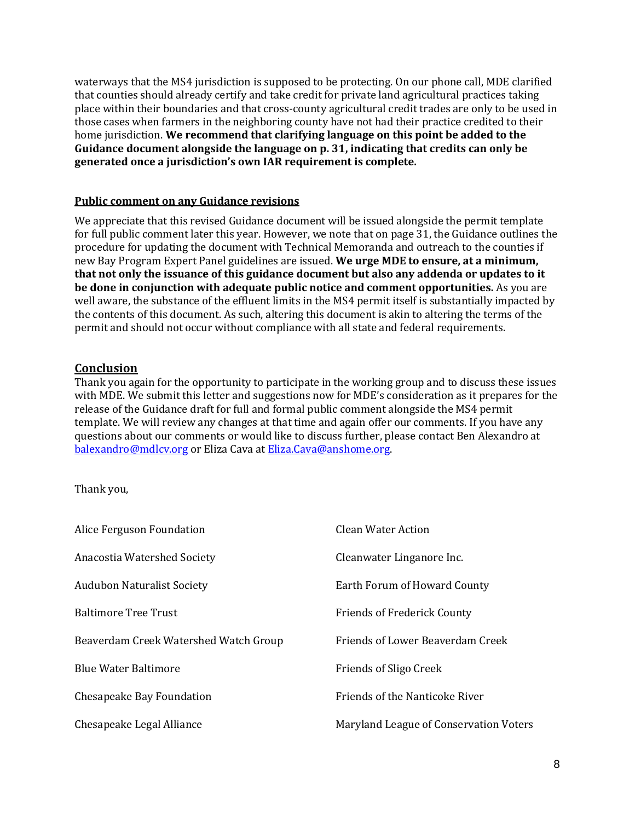waterways that the MS4 jurisdiction is supposed to be protecting. On our phone call, MDE clarified that counties should already certify and take credit for private land agricultural practices taking place within their boundaries and that cross-county agricultural credit trades are only to be used in those cases when farmers in the neighboring county have not had their practice credited to their home jurisdiction. **We recommend that clarifying language on this point be added to the Guidance document alongside the language on p. 31, indicating that credits can only be generated once a jurisdiction's own IAR requirement is complete.**

#### **Public comment on any Guidance revisions**

We appreciate that this revised Guidance document will be issued alongside the permit template for full public comment later this year. However, we note that on page 31, the Guidance outlines the procedure for updating the document with Technical Memoranda and outreach to the counties if new Bay Program Expert Panel guidelines are issued. **We urge MDE to ensure, at a minimum, that not only the issuance of this guidance document but also any addenda or updates to it be done in conjunction with adequate public notice and comment opportunities.** As you are well aware, the substance of the effluent limits in the MS4 permit itself is substantially impacted by the contents of this document. As such, altering this document is akin to altering the terms of the permit and should not occur without compliance with all state and federal requirements.

### **Conclusion**

Thank you again for the opportunity to participate in the working group and to discuss these issues with MDE. We submit this letter and suggestions now for MDE's consideration as it prepares for the release of the Guidance draft for full and formal public comment alongside the MS4 permit template. We will review any changes at that time and again offer our comments. If you have any questions about our comments or would like to discuss further, please contact Ben Alexandro at balexandro@mdlcv.org or Eliza Cava at Eliza.Cava@anshome.org.

### Thank you,

| Alice Ferguson Foundation             | <b>Clean Water Action</b>              |
|---------------------------------------|----------------------------------------|
| Anacostia Watershed Society           | Cleanwater Linganore Inc.              |
| <b>Audubon Naturalist Society</b>     | Earth Forum of Howard County           |
| <b>Baltimore Tree Trust</b>           | <b>Friends of Frederick County</b>     |
| Beaverdam Creek Watershed Watch Group | Friends of Lower Beaverdam Creek       |
| <b>Blue Water Baltimore</b>           | <b>Friends of Sligo Creek</b>          |
| Chesapeake Bay Foundation             | <b>Friends of the Nanticoke River</b>  |
| Chesapeake Legal Alliance             | Maryland League of Conservation Voters |